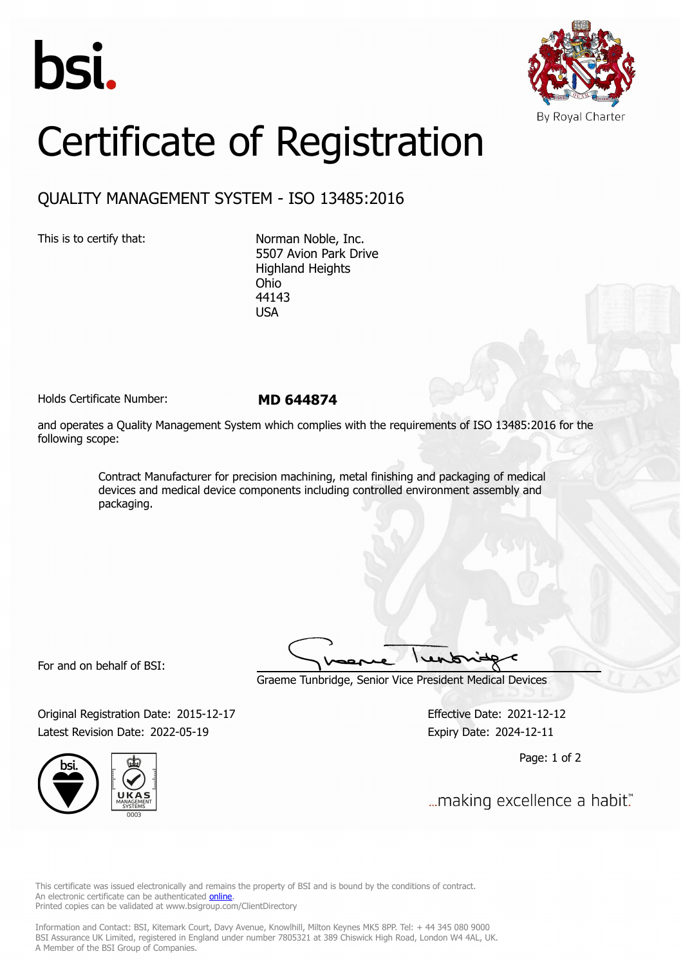



## Certificate of Registration

## QUALITY MANAGEMENT SYSTEM - ISO 13485:2016

This is to certify that: Norman Noble, Inc. 5507 Avion Park Drive Highland Heights Ohio 44143 USA

Holds Certificate Number: **MD 644874**

and operates a Quality Management System which complies with the requirements of ISO 13485:2016 for the following scope:

> Contract Manufacturer for precision machining, metal finishing and packaging of medical devices and medical device components including controlled environment assembly and packaging.

For and on behalf of BSI:

Graeme Tunbridge, Senior Vice President Medical Devices

Original Registration Date: 2015-12-17 Effective Date: 2021-12-12 Latest Revision Date: 2022-05-19 Expiry Date: 2024-12-11



Page: 1 of 2

... making excellence a habit."

This certificate was issued electronically and remains the property of BSI and is bound by the conditions of contract. An electronic certificate can be authenticated **[online](https://pgplus.bsigroup.com/CertificateValidation/CertificateValidator.aspx?CertificateNumber=MD+644874&ReIssueDate=19%2f05%2f2022&Template=uk)**. Printed copies can be validated at www.bsigroup.com/ClientDirectory

Information and Contact: BSI, Kitemark Court, Davy Avenue, Knowlhill, Milton Keynes MK5 8PP. Tel: + 44 345 080 9000 BSI Assurance UK Limited, registered in England under number 7805321 at 389 Chiswick High Road, London W4 4AL, UK. A Member of the BSI Group of Companies.